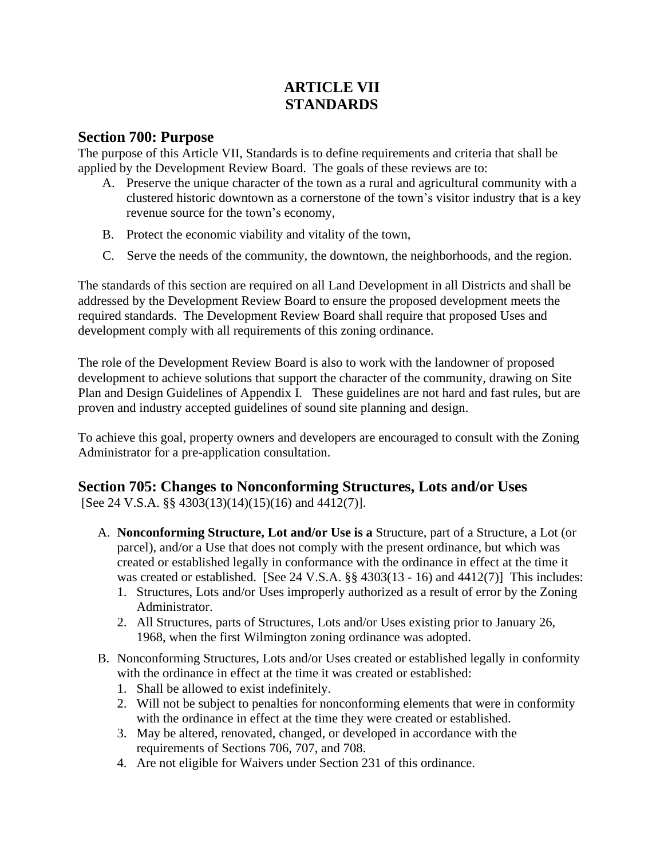# **ARTICLE VII STANDARDS**

#### **Section 700: Purpose**

The purpose of this Article VII, Standards is to define requirements and criteria that shall be applied by the Development Review Board. The goals of these reviews are to:

- A. Preserve the unique character of the town as a rural and agricultural community with a clustered historic downtown as a cornerstone of the town's visitor industry that is a key revenue source for the town's economy,
- B. Protect the economic viability and vitality of the town,
- C. Serve the needs of the community, the downtown, the neighborhoods, and the region.

The standards of this section are required on all Land Development in all Districts and shall be addressed by the Development Review Board to ensure the proposed development meets the required standards. The Development Review Board shall require that proposed Uses and development comply with all requirements of this zoning ordinance.

The role of the Development Review Board is also to work with the landowner of proposed development to achieve solutions that support the character of the community, drawing on Site Plan and Design Guidelines of Appendix I. These guidelines are not hard and fast rules, but are proven and industry accepted guidelines of sound site planning and design.

To achieve this goal, property owners and developers are encouraged to consult with the Zoning Administrator for a pre-application consultation.

# **Section 705: Changes to Nonconforming Structures, Lots and/or Uses**

[See 24 V.S.A. §§ 4303(13)(14)(15)(16) and 4412(7)].

- A. **Nonconforming Structure, Lot and/or Use is a** Structure, part of a Structure, a Lot (or parcel), and/or a Use that does not comply with the present ordinance, but which was created or established legally in conformance with the ordinance in effect at the time it was created or established. [See 24 V.S.A. §§ 4303(13 - 16) and 4412(7)] This includes:
	- 1. Structures, Lots and/or Uses improperly authorized as a result of error by the Zoning Administrator.
	- 2. All Structures, parts of Structures, Lots and/or Uses existing prior to January 26, 1968, when the first Wilmington zoning ordinance was adopted.
- B. Nonconforming Structures, Lots and/or Uses created or established legally in conformity with the ordinance in effect at the time it was created or established:
	- 1. Shall be allowed to exist indefinitely.
	- 2. Will not be subject to penalties for nonconforming elements that were in conformity with the ordinance in effect at the time they were created or established.
	- 3. May be altered, renovated, changed, or developed in accordance with the requirements of Sections 706, 707, and 708.
	- 4. Are not eligible for Waivers under Section 231 of this ordinance.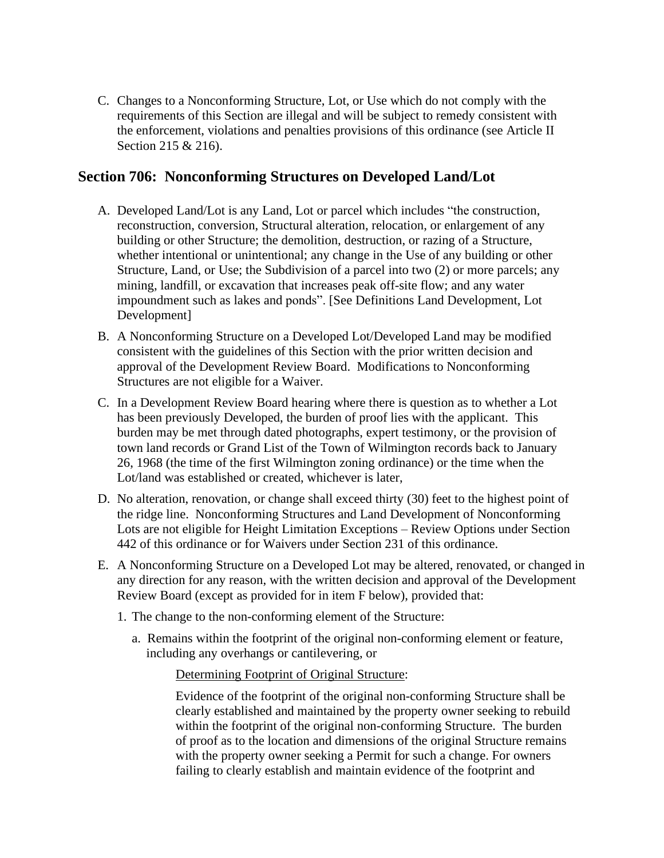C. Changes to a Nonconforming Structure, Lot, or Use which do not comply with the requirements of this Section are illegal and will be subject to remedy consistent with the enforcement, violations and penalties provisions of this ordinance (see Article II Section 215 & 216).

### **Section 706: Nonconforming Structures on Developed Land/Lot**

- A. Developed Land/Lot is any Land, Lot or parcel which includes "the construction, reconstruction, conversion, Structural alteration, relocation, or enlargement of any building or other Structure; the demolition, destruction, or razing of a Structure, whether intentional or unintentional; any change in the Use of any building or other Structure, Land, or Use; the Subdivision of a parcel into two (2) or more parcels; any mining, landfill, or excavation that increases peak off-site flow; and any water impoundment such as lakes and ponds". [See Definitions Land Development, Lot Development]
- B. A Nonconforming Structure on a Developed Lot/Developed Land may be modified consistent with the guidelines of this Section with the prior written decision and approval of the Development Review Board. Modifications to Nonconforming Structures are not eligible for a Waiver.
- C. In a Development Review Board hearing where there is question as to whether a Lot has been previously Developed, the burden of proof lies with the applicant. This burden may be met through dated photographs, expert testimony, or the provision of town land records or Grand List of the Town of Wilmington records back to January 26, 1968 (the time of the first Wilmington zoning ordinance) or the time when the Lot/land was established or created, whichever is later,
- D. No alteration, renovation, or change shall exceed thirty (30) feet to the highest point of the ridge line. Nonconforming Structures and Land Development of Nonconforming Lots are not eligible for Height Limitation Exceptions – Review Options under Section 442 of this ordinance or for Waivers under Section 231 of this ordinance.
- E. A Nonconforming Structure on a Developed Lot may be altered, renovated, or changed in any direction for any reason, with the written decision and approval of the Development Review Board (except as provided for in item F below), provided that:
	- 1. The change to the non-conforming element of the Structure:
		- a. Remains within the footprint of the original non-conforming element or feature, including any overhangs or cantilevering, or

### Determining Footprint of Original Structure:

Evidence of the footprint of the original non-conforming Structure shall be clearly established and maintained by the property owner seeking to rebuild within the footprint of the original non-conforming Structure. The burden of proof as to the location and dimensions of the original Structure remains with the property owner seeking a Permit for such a change. For owners failing to clearly establish and maintain evidence of the footprint and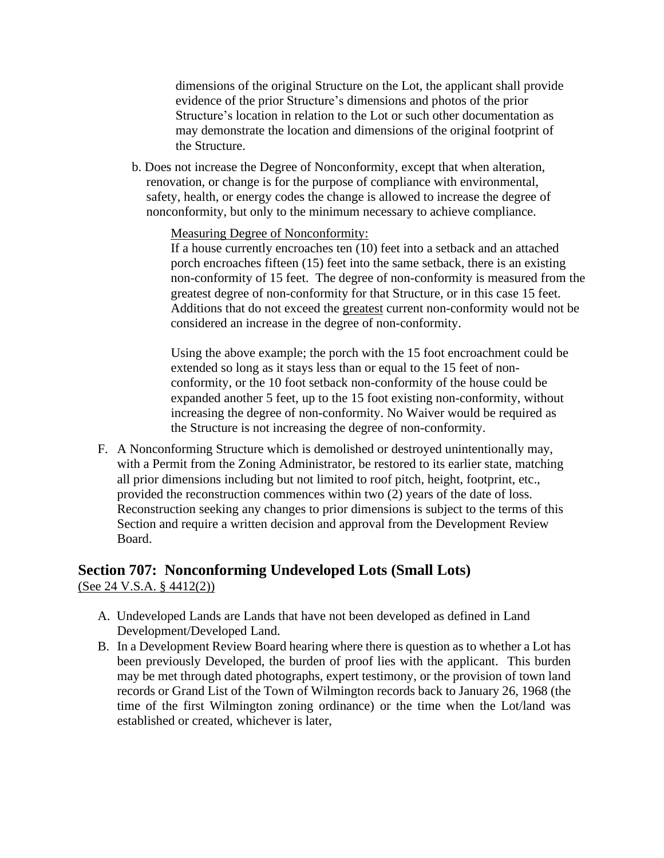dimensions of the original Structure on the Lot, the applicant shall provide evidence of the prior Structure's dimensions and photos of the prior Structure's location in relation to the Lot or such other documentation as may demonstrate the location and dimensions of the original footprint of the Structure.

b. Does not increase the Degree of Nonconformity, except that when alteration, renovation, or change is for the purpose of compliance with environmental, safety, health, or energy codes the change is allowed to increase the degree of nonconformity, but only to the minimum necessary to achieve compliance.

Measuring Degree of Nonconformity:

If a house currently encroaches ten (10) feet into a setback and an attached porch encroaches fifteen (15) feet into the same setback, there is an existing non-conformity of 15 feet. The degree of non-conformity is measured from the greatest degree of non-conformity for that Structure, or in this case 15 feet. Additions that do not exceed the greatest current non-conformity would not be considered an increase in the degree of non-conformity.

Using the above example; the porch with the 15 foot encroachment could be extended so long as it stays less than or equal to the 15 feet of nonconformity, or the 10 foot setback non-conformity of the house could be expanded another 5 feet, up to the 15 foot existing non-conformity, without increasing the degree of non-conformity. No Waiver would be required as the Structure is not increasing the degree of non-conformity.

F. A Nonconforming Structure which is demolished or destroyed unintentionally may, with a Permit from the Zoning Administrator, be restored to its earlier state, matching all prior dimensions including but not limited to roof pitch, height, footprint, etc., provided the reconstruction commences within two (2) years of the date of loss. Reconstruction seeking any changes to prior dimensions is subject to the terms of this Section and require a written decision and approval from the Development Review Board.

### **Section 707: Nonconforming Undeveloped Lots (Small Lots)** (See 24 V.S.A. § 4412(2))

- A. Undeveloped Lands are Lands that have not been developed as defined in Land Development/Developed Land.
- B. In a Development Review Board hearing where there is question as to whether a Lot has been previously Developed, the burden of proof lies with the applicant. This burden may be met through dated photographs, expert testimony, or the provision of town land records or Grand List of the Town of Wilmington records back to January 26, 1968 (the time of the first Wilmington zoning ordinance) or the time when the Lot/land was established or created, whichever is later,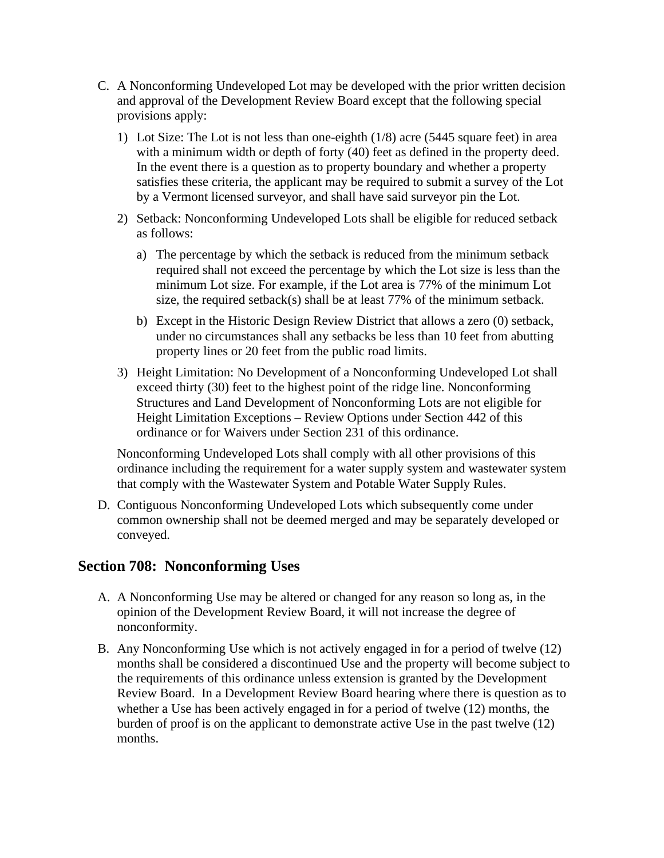- C. A Nonconforming Undeveloped Lot may be developed with the prior written decision and approval of the Development Review Board except that the following special provisions apply:
	- 1) Lot Size: The Lot is not less than one-eighth (1/8) acre (5445 square feet) in area with a minimum width or depth of forty (40) feet as defined in the property deed. In the event there is a question as to property boundary and whether a property satisfies these criteria, the applicant may be required to submit a survey of the Lot by a Vermont licensed surveyor, and shall have said surveyor pin the Lot.
	- 2) Setback: Nonconforming Undeveloped Lots shall be eligible for reduced setback as follows:
		- a) The percentage by which the setback is reduced from the minimum setback required shall not exceed the percentage by which the Lot size is less than the minimum Lot size. For example, if the Lot area is 77% of the minimum Lot size, the required setback(s) shall be at least 77% of the minimum setback.
		- b) Except in the Historic Design Review District that allows a zero (0) setback, under no circumstances shall any setbacks be less than 10 feet from abutting property lines or 20 feet from the public road limits.
	- 3) Height Limitation: No Development of a Nonconforming Undeveloped Lot shall exceed thirty (30) feet to the highest point of the ridge line. Nonconforming Structures and Land Development of Nonconforming Lots are not eligible for Height Limitation Exceptions – Review Options under Section 442 of this ordinance or for Waivers under Section 231 of this ordinance.

Nonconforming Undeveloped Lots shall comply with all other provisions of this ordinance including the requirement for a water supply system and wastewater system that comply with the Wastewater System and Potable Water Supply Rules.

D. Contiguous Nonconforming Undeveloped Lots which subsequently come under common ownership shall not be deemed merged and may be separately developed or conveyed.

### **Section 708: Nonconforming Uses**

- A. A Nonconforming Use may be altered or changed for any reason so long as, in the opinion of the Development Review Board, it will not increase the degree of nonconformity.
- B. Any Nonconforming Use which is not actively engaged in for a period of twelve (12) months shall be considered a discontinued Use and the property will become subject to the requirements of this ordinance unless extension is granted by the Development Review Board. In a Development Review Board hearing where there is question as to whether a Use has been actively engaged in for a period of twelve (12) months, the burden of proof is on the applicant to demonstrate active Use in the past twelve (12) months.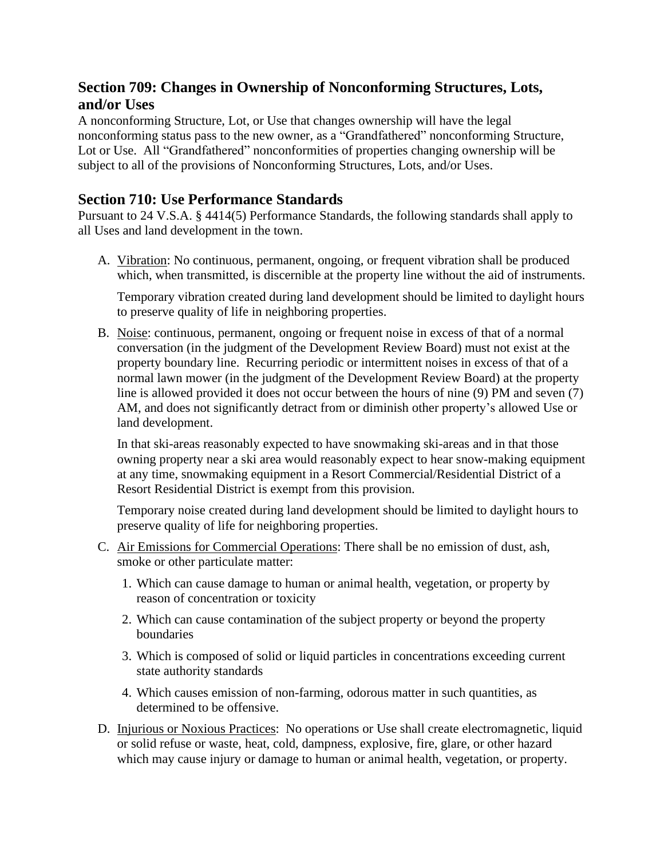# **Section 709: Changes in Ownership of Nonconforming Structures, Lots, and/or Uses**

A nonconforming Structure, Lot, or Use that changes ownership will have the legal nonconforming status pass to the new owner, as a "Grandfathered" nonconforming Structure, Lot or Use. All "Grandfathered" nonconformities of properties changing ownership will be subject to all of the provisions of Nonconforming Structures, Lots, and/or Uses.

# **Section 710: Use Performance Standards**

Pursuant to 24 V.S.A. § 4414(5) Performance Standards, the following standards shall apply to all Uses and land development in the town.

A. Vibration: No continuous, permanent, ongoing, or frequent vibration shall be produced which, when transmitted, is discernible at the property line without the aid of instruments.

Temporary vibration created during land development should be limited to daylight hours to preserve quality of life in neighboring properties.

B. Noise: continuous, permanent, ongoing or frequent noise in excess of that of a normal conversation (in the judgment of the Development Review Board) must not exist at the property boundary line. Recurring periodic or intermittent noises in excess of that of a normal lawn mower (in the judgment of the Development Review Board) at the property line is allowed provided it does not occur between the hours of nine (9) PM and seven (7) AM, and does not significantly detract from or diminish other property's allowed Use or land development.

In that ski-areas reasonably expected to have snowmaking ski-areas and in that those owning property near a ski area would reasonably expect to hear snow-making equipment at any time, snowmaking equipment in a Resort Commercial/Residential District of a Resort Residential District is exempt from this provision.

Temporary noise created during land development should be limited to daylight hours to preserve quality of life for neighboring properties.

- C. Air Emissions for Commercial Operations: There shall be no emission of dust, ash, smoke or other particulate matter:
	- 1. Which can cause damage to human or animal health, vegetation, or property by reason of concentration or toxicity
	- 2. Which can cause contamination of the subject property or beyond the property **boundaries**
	- 3. Which is composed of solid or liquid particles in concentrations exceeding current state authority standards
	- 4. Which causes emission of non-farming, odorous matter in such quantities, as determined to be offensive.
- D. Injurious or Noxious Practices: No operations or Use shall create electromagnetic, liquid or solid refuse or waste, heat, cold, dampness, explosive, fire, glare, or other hazard which may cause injury or damage to human or animal health, vegetation, or property.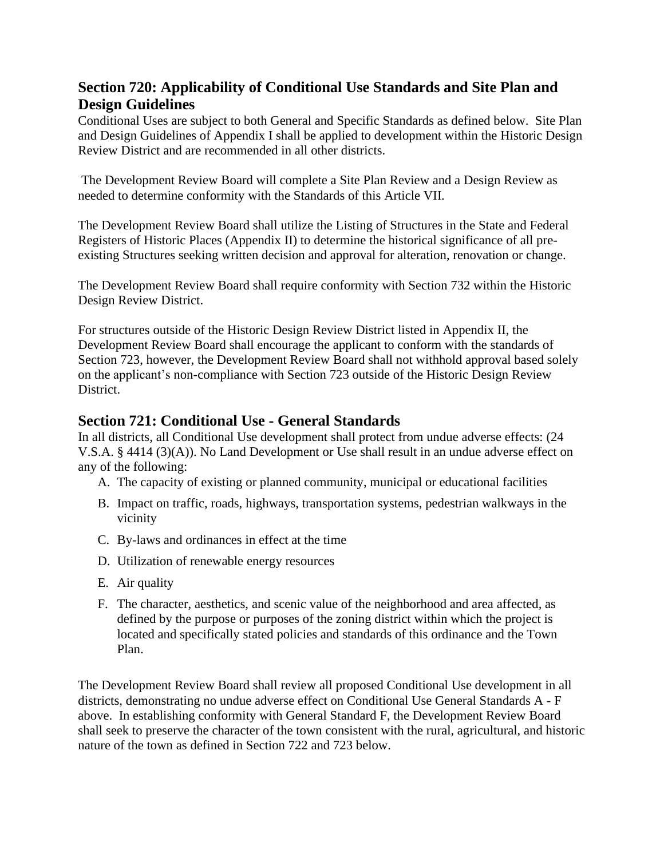# **Section 720: Applicability of Conditional Use Standards and Site Plan and Design Guidelines**

Conditional Uses are subject to both General and Specific Standards as defined below. Site Plan and Design Guidelines of Appendix I shall be applied to development within the Historic Design Review District and are recommended in all other districts.

The Development Review Board will complete a Site Plan Review and a Design Review as needed to determine conformity with the Standards of this Article VII.

The Development Review Board shall utilize the Listing of Structures in the State and Federal Registers of Historic Places (Appendix II) to determine the historical significance of all preexisting Structures seeking written decision and approval for alteration, renovation or change.

The Development Review Board shall require conformity with Section 732 within the Historic Design Review District.

For structures outside of the Historic Design Review District listed in Appendix II, the Development Review Board shall encourage the applicant to conform with the standards of Section 723, however, the Development Review Board shall not withhold approval based solely on the applicant's non-compliance with Section 723 outside of the Historic Design Review District.

### **Section 721: Conditional Use - General Standards**

In all districts, all Conditional Use development shall protect from undue adverse effects: (24 V.S.A. § 4414 (3)(A)). No Land Development or Use shall result in an undue adverse effect on any of the following:

- A. The capacity of existing or planned community, municipal or educational facilities
- B. Impact on traffic, roads, highways, transportation systems, pedestrian walkways in the vicinity
- C. By-laws and ordinances in effect at the time
- D. Utilization of renewable energy resources
- E. Air quality
- F. The character, aesthetics, and scenic value of the neighborhood and area affected, as defined by the purpose or purposes of the zoning district within which the project is located and specifically stated policies and standards of this ordinance and the Town Plan.

The Development Review Board shall review all proposed Conditional Use development in all districts, demonstrating no undue adverse effect on Conditional Use General Standards A - F above. In establishing conformity with General Standard F, the Development Review Board shall seek to preserve the character of the town consistent with the rural, agricultural, and historic nature of the town as defined in Section 722 and 723 below.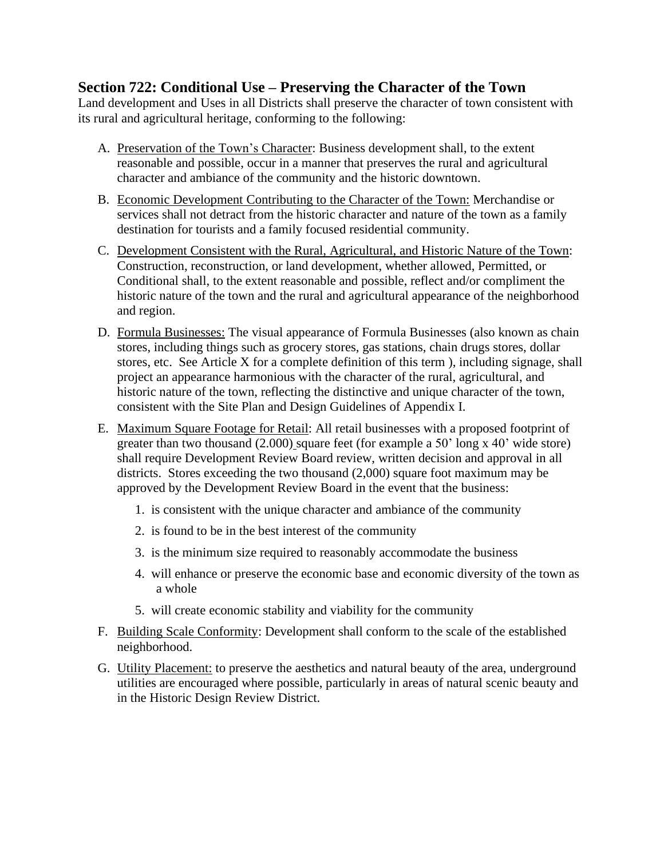### **Section 722: Conditional Use – Preserving the Character of the Town**

Land development and Uses in all Districts shall preserve the character of town consistent with its rural and agricultural heritage, conforming to the following:

- A. Preservation of the Town's Character: Business development shall, to the extent reasonable and possible, occur in a manner that preserves the rural and agricultural character and ambiance of the community and the historic downtown.
- B. Economic Development Contributing to the Character of the Town: Merchandise or services shall not detract from the historic character and nature of the town as a family destination for tourists and a family focused residential community.
- C. Development Consistent with the Rural, Agricultural, and Historic Nature of the Town: Construction, reconstruction, or land development, whether allowed, Permitted, or Conditional shall, to the extent reasonable and possible, reflect and/or compliment the historic nature of the town and the rural and agricultural appearance of the neighborhood and region.
- D. Formula Businesses: The visual appearance of Formula Businesses (also known as chain stores, including things such as grocery stores, gas stations, chain drugs stores, dollar stores, etc. See Article X for a complete definition of this term ), including signage, shall project an appearance harmonious with the character of the rural, agricultural, and historic nature of the town, reflecting the distinctive and unique character of the town, consistent with the Site Plan and Design Guidelines of Appendix I.
- E. Maximum Square Footage for Retail: All retail businesses with a proposed footprint of greater than two thousand (2.000) square feet (for example a 50' long x 40' wide store) shall require Development Review Board review, written decision and approval in all districts. Stores exceeding the two thousand (2,000) square foot maximum may be approved by the Development Review Board in the event that the business:
	- 1. is consistent with the unique character and ambiance of the community
	- 2. is found to be in the best interest of the community
	- 3. is the minimum size required to reasonably accommodate the business
	- 4. will enhance or preserve the economic base and economic diversity of the town as a whole
	- 5. will create economic stability and viability for the community
- F. Building Scale Conformity: Development shall conform to the scale of the established neighborhood.
- G. Utility Placement: to preserve the aesthetics and natural beauty of the area, underground utilities are encouraged where possible, particularly in areas of natural scenic beauty and in the Historic Design Review District.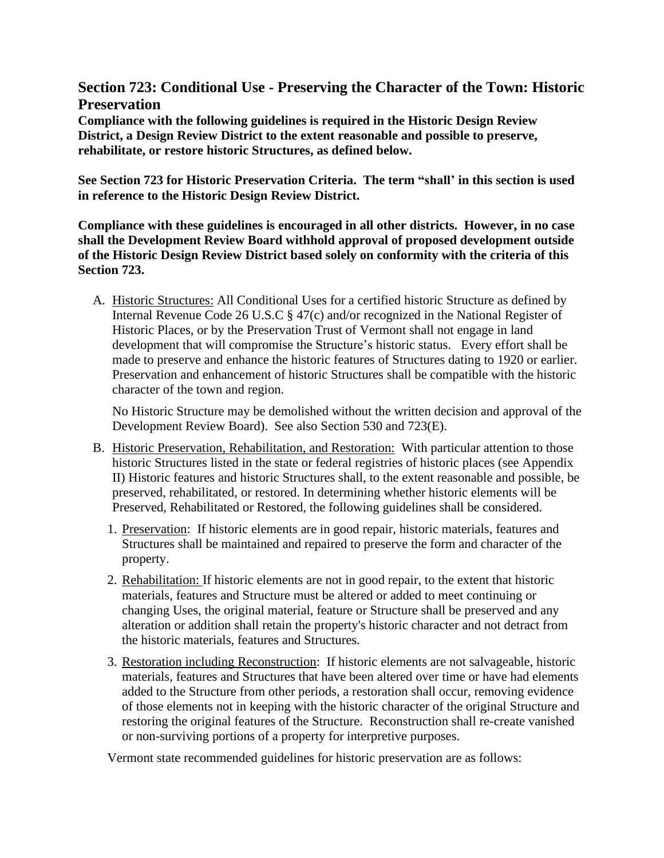### **Section 723: Conditional Use - Preserving the Character of the Town: Historic Preservation**

**Compliance with the following guidelines is required in the Historic Design Review District, a Design Review District to the extent reasonable and possible to preserve, rehabilitate, or restore historic Structures, as defined below.** 

**See Section 723 for Historic Preservation Criteria. The term "shall' in this section is used in reference to the Historic Design Review District.**

**Compliance with these guidelines is encouraged in all other districts. However, in no case shall the Development Review Board withhold approval of proposed development outside of the Historic Design Review District based solely on conformity with the criteria of this Section 723.**

A. Historic Structures: All Conditional Uses for a certified historic Structure as defined by Internal Revenue Code 26 U.S.C § 47(c) and/or recognized in the National Register of Historic Places, or by the Preservation Trust of Vermont shall not engage in land development that will compromise the Structure's historic status. Every effort shall be made to preserve and enhance the historic features of Structures dating to 1920 or earlier. Preservation and enhancement of historic Structures shall be compatible with the historic character of the town and region.

No Historic Structure may be demolished without the written decision and approval of the Development Review Board). See also Section 530 and 723(E).

- B. Historic Preservation, Rehabilitation, and Restoration: With particular attention to those historic Structures listed in the state or federal registries of historic places (see Appendix II) Historic features and historic Structures shall, to the extent reasonable and possible, be preserved, rehabilitated, or restored. In determining whether historic elements will be Preserved, Rehabilitated or Restored, the following guidelines shall be considered.
	- 1. Preservation: If historic elements are in good repair, historic materials, features and Structures shall be maintained and repaired to preserve the form and character of the property.
	- 2. Rehabilitation: If historic elements are not in good repair, to the extent that historic materials, features and Structure must be altered or added to meet continuing or changing Uses, the original material, feature or Structure shall be preserved and any alteration or addition shall retain the property's historic character and not detract from the historic materials, features and Structures.
	- 3. Restoration including Reconstruction: If historic elements are not salvageable, historic materials, features and Structures that have been altered over time or have had elements added to the Structure from other periods, a restoration shall occur, removing evidence of those elements not in keeping with the historic character of the original Structure and restoring the original features of the Structure. [Reconstruction](http://www.nps.gov/tps/standards/four-treatments/treatment-reconstruction.htm) shall re-create vanished or non-surviving portions of a property for interpretive purposes.

Vermont state recommended guidelines for historic preservation are as follows: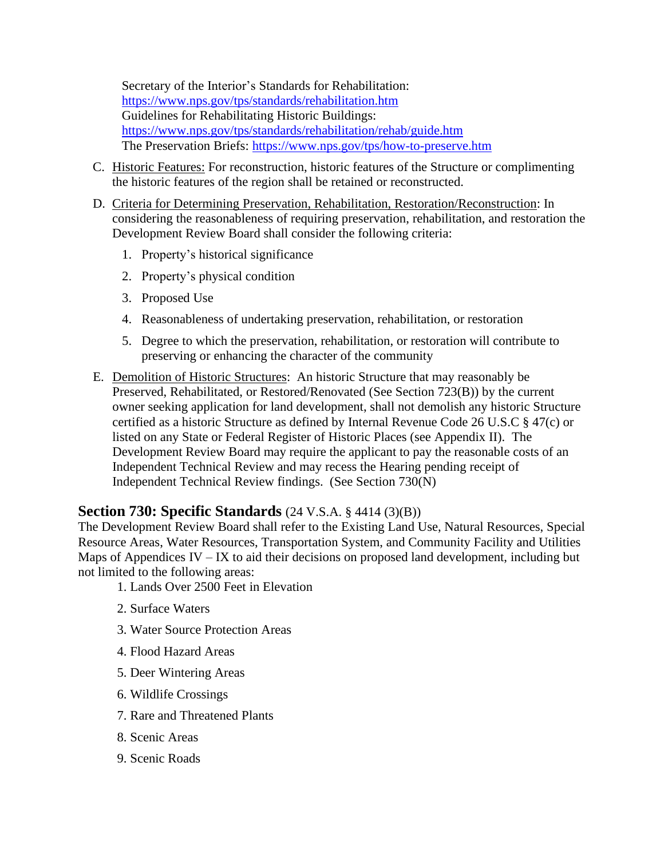Secretary of the Interior's Standards for Rehabilitation: <https://www.nps.gov/tps/standards/rehabilitation.htm> Guidelines for Rehabilitating Historic Buildings: <https://www.nps.gov/tps/standards/rehabilitation/rehab/guide.htm> The Preservation Briefs: <https://www.nps.gov/tps/how-to-preserve.htm>

- C. Historic Features: For reconstruction, historic features of the Structure or complimenting the historic features of the region shall be retained or reconstructed.
- D. Criteria for Determining Preservation, Rehabilitation, Restoration/Reconstruction: In considering the reasonableness of requiring preservation, rehabilitation, and restoration the Development Review Board shall consider the following criteria:
	- 1. Property's historical significance
	- 2. Property's physical condition
	- 3. Proposed Use
	- 4. Reasonableness of undertaking preservation, rehabilitation, or restoration
	- 5. Degree to which the preservation, rehabilitation, or restoration will contribute to preserving or enhancing the character of the community
- E. Demolition of Historic Structures: An historic Structure that may reasonably be Preserved, Rehabilitated, or Restored/Renovated (See Section 723(B)) by the current owner seeking application for land development, shall not demolish any historic Structure certified as a historic Structure as defined by Internal Revenue Code 26 U.S.C § 47(c) or listed on any State or Federal Register of Historic Places (see Appendix II). The Development Review Board may require the applicant to pay the reasonable costs of an Independent Technical Review and may recess the Hearing pending receipt of Independent Technical Review findings. (See Section 730(N)

# **Section 730: Specific Standards** (24 V.S.A. § 4414 (3)(B))

The Development Review Board shall refer to the Existing Land Use, Natural Resources, Special Resource Areas, Water Resources, Transportation System, and Community Facility and Utilities Maps of Appendices IV – IX to aid their decisions on proposed land development, including but not limited to the following areas:

- 1. Lands Over 2500 Feet in Elevation
- 2. Surface Waters
- 3. Water Source Protection Areas
- 4. Flood Hazard Areas
- 5. Deer Wintering Areas
- 6. Wildlife Crossings
- 7. Rare and Threatened Plants
- 8. Scenic Areas
- 9. Scenic Roads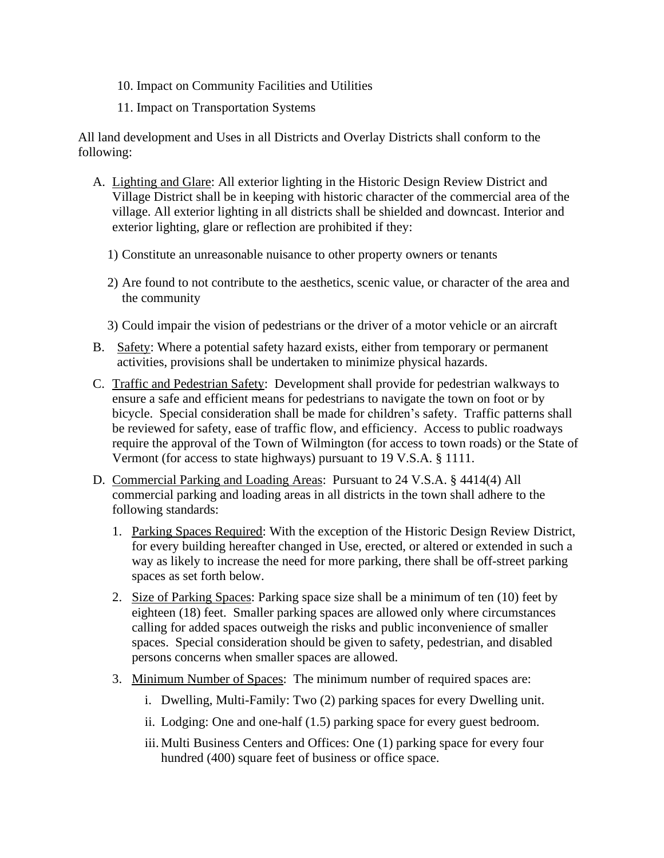- 10. Impact on Community Facilities and Utilities
- 11. Impact on Transportation Systems

All land development and Uses in all Districts and Overlay Districts shall conform to the following:

- A. Lighting and Glare: All exterior lighting in the Historic Design Review District and Village District shall be in keeping with historic character of the commercial area of the village. All exterior lighting in all districts shall be shielded and downcast. Interior and exterior lighting, glare or reflection are prohibited if they:
	- 1) Constitute an unreasonable nuisance to other property owners or tenants
	- 2) Are found to not contribute to the aesthetics, scenic value, or character of the area and the community
	- 3) Could impair the vision of pedestrians or the driver of a motor vehicle or an aircraft
- B. Safety: Where a potential safety hazard exists, either from temporary or permanent activities, provisions shall be undertaken to minimize physical hazards.
- C. Traffic and Pedestrian Safety: Development shall provide for pedestrian walkways to ensure a safe and efficient means for pedestrians to navigate the town on foot or by bicycle. Special consideration shall be made for children's safety. Traffic patterns shall be reviewed for safety, ease of traffic flow, and efficiency. Access to public roadways require the approval of the Town of Wilmington (for access to town roads) or the State of Vermont (for access to state highways) pursuant to 19 V.S.A. § 1111.
- D. Commercial Parking and Loading Areas:Pursuant to 24 V.S.A. § 4414(4) All commercial parking and loading areas in all districts in the town shall adhere to the following standards:
	- 1. Parking Spaces Required: With the exception of the Historic Design Review District, for every building hereafter changed in Use, erected, or altered or extended in such a way as likely to increase the need for more parking, there shall be off-street parking spaces as set forth below.
	- 2. Size of Parking Spaces: Parking space size shall be a minimum of ten (10) feet by eighteen (18) feet. Smaller parking spaces are allowed only where circumstances calling for added spaces outweigh the risks and public inconvenience of smaller spaces. Special consideration should be given to safety, pedestrian, and disabled persons concerns when smaller spaces are allowed.
	- 3. Minimum Number of Spaces: The minimum number of required spaces are:
		- i. Dwelling, Multi-Family: Two (2) parking spaces for every Dwelling unit.
		- ii. Lodging: One and one-half (1.5) parking space for every guest bedroom.
		- iii. Multi Business Centers and Offices: One (1) parking space for every four hundred (400) square feet of business or office space.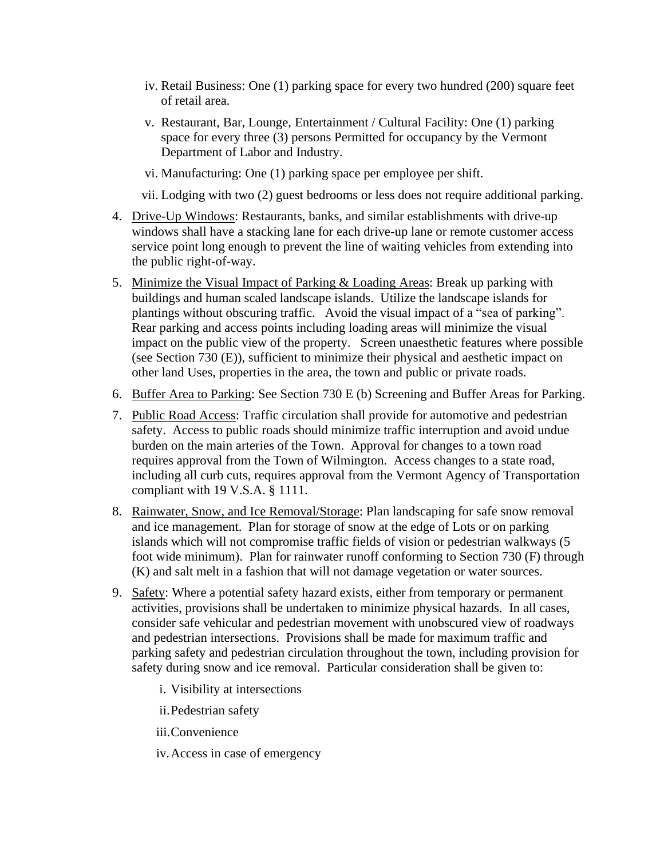- iv. Retail Business: One (1) parking space for every two hundred (200) square feet of retail area.
- v. Restaurant, Bar, Lounge, Entertainment / Cultural Facility: One (1) parking space for every three (3) persons Permitted for occupancy by the Vermont Department of Labor and Industry.
- vi. Manufacturing: One (1) parking space per employee per shift.
- vii. Lodging with two (2) guest bedrooms or less does not require additional parking.
- 4. Drive-Up Windows: Restaurants, banks, and similar establishments with drive-up windows shall have a stacking lane for each drive-up lane or remote customer access service point long enough to prevent the line of waiting vehicles from extending into the public right-of-way.
- 5. Minimize the Visual Impact of Parking & Loading Areas: Break up parking with buildings and human scaled landscape islands. Utilize the landscape islands for plantings without obscuring traffic. Avoid the visual impact of a "sea of parking". Rear parking and access points including loading areas will minimize the visual impact on the public view of the property. Screen unaesthetic features where possible (see Section 730 (E)), sufficient to minimize their physical and aesthetic impact on other land Uses, properties in the area, the town and public or private roads.
- 6. Buffer Area to Parking: See Section 730 E (b) Screening and Buffer Areas for Parking.
- 7. Public Road Access: Traffic circulation shall provide for automotive and pedestrian safety. Access to public roads should minimize traffic interruption and avoid undue burden on the main arteries of the Town. Approval for changes to a town road requires approval from the Town of Wilmington. Access changes to a state road, including all curb cuts, requires approval from the Vermont Agency of Transportation compliant with 19 V.S.A. § 1111.
- 8. Rainwater, Snow, and Ice Removal/Storage: Plan landscaping for safe snow removal and ice management. Plan for storage of snow at the edge of Lots or on parking islands which will not compromise traffic fields of vision or pedestrian walkways (5 foot wide minimum). Plan for rainwater runoff conforming to Section 730 (F) through (K) and salt melt in a fashion that will not damage vegetation or water sources.
- 9. Safety: Where a potential safety hazard exists, either from temporary or permanent activities, provisions shall be undertaken to minimize physical hazards. In all cases, consider safe vehicular and pedestrian movement with unobscured view of roadways and pedestrian intersections. Provisions shall be made for maximum traffic and parking safety and pedestrian circulation throughout the town, including provision for safety during snow and ice removal. Particular consideration shall be given to:
	- i. Visibility at intersections

ii.Pedestrian safety

iii.Convenience

iv.Access in case of emergency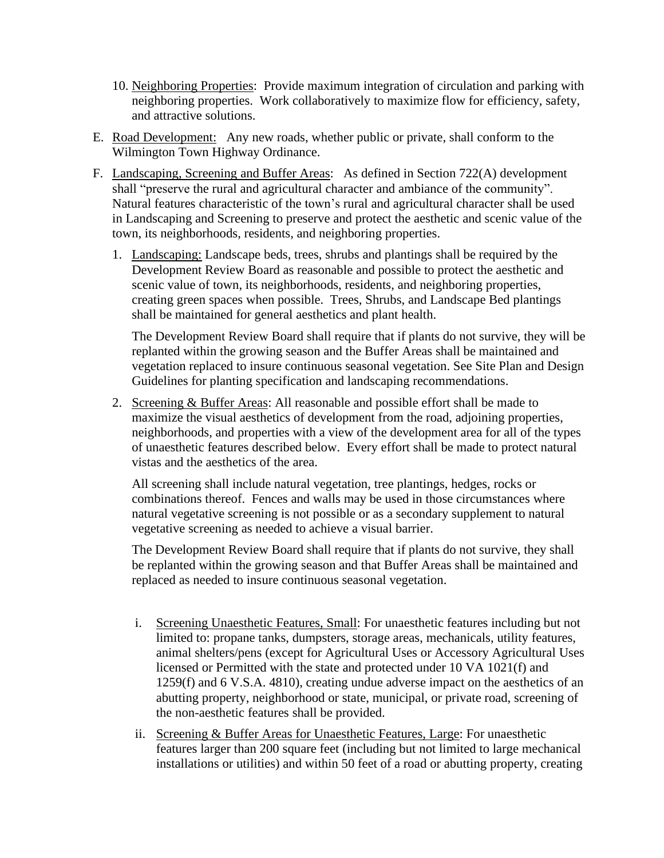- 10. Neighboring Properties: Provide maximum integration of circulation and parking with neighboring properties. Work collaboratively to maximize flow for efficiency, safety, and attractive solutions.
- E. Road Development: Any new roads, whether public or private, shall conform to the Wilmington Town Highway Ordinance.
- F. Landscaping, Screening and Buffer Areas: As defined in Section 722(A) development shall "preserve the rural and agricultural character and ambiance of the community". Natural features characteristic of the town's rural and agricultural character shall be used in Landscaping and Screening to preserve and protect the aesthetic and scenic value of the town, its neighborhoods, residents, and neighboring properties.
	- 1. Landscaping: Landscape beds, trees, shrubs and plantings shall be required by the Development Review Board as reasonable and possible to protect the aesthetic and scenic value of town, its neighborhoods, residents, and neighboring properties, creating green spaces when possible. Trees, Shrubs, and Landscape Bed plantings shall be maintained for general aesthetics and plant health.

The Development Review Board shall require that if plants do not survive, they will be replanted within the growing season and the Buffer Areas shall be maintained and vegetation replaced to insure continuous seasonal vegetation. See Site Plan and Design Guidelines for planting specification and landscaping recommendations.

2. Screening & Buffer Areas: All reasonable and possible effort shall be made to maximize the visual aesthetics of development from the road, adjoining properties, neighborhoods, and properties with a view of the development area for all of the types of unaesthetic features described below. Every effort shall be made to protect natural vistas and the aesthetics of the area.

All screening shall include natural vegetation, tree plantings, hedges, rocks or combinations thereof. Fences and walls may be used in those circumstances where natural vegetative screening is not possible or as a secondary supplement to natural vegetative screening as needed to achieve a visual barrier.

The Development Review Board shall require that if plants do not survive, they shall be replanted within the growing season and that Buffer Areas shall be maintained and replaced as needed to insure continuous seasonal vegetation.

- i. Screening Unaesthetic Features, Small: For unaesthetic features including but not limited to: propane tanks, dumpsters, storage areas, mechanicals, utility features, animal shelters/pens (except for Agricultural Uses or Accessory Agricultural Uses licensed or Permitted with the state and protected under 10 VA 1021(f) and 1259(f) and 6 V.S.A. 4810), creating undue adverse impact on the aesthetics of an abutting property, neighborhood or state, municipal, or private road, screening of the non-aesthetic features shall be provided.
- ii. Screening & Buffer Areas for Unaesthetic Features, Large: For unaesthetic features larger than 200 square feet (including but not limited to large mechanical installations or utilities) and within 50 feet of a road or abutting property, creating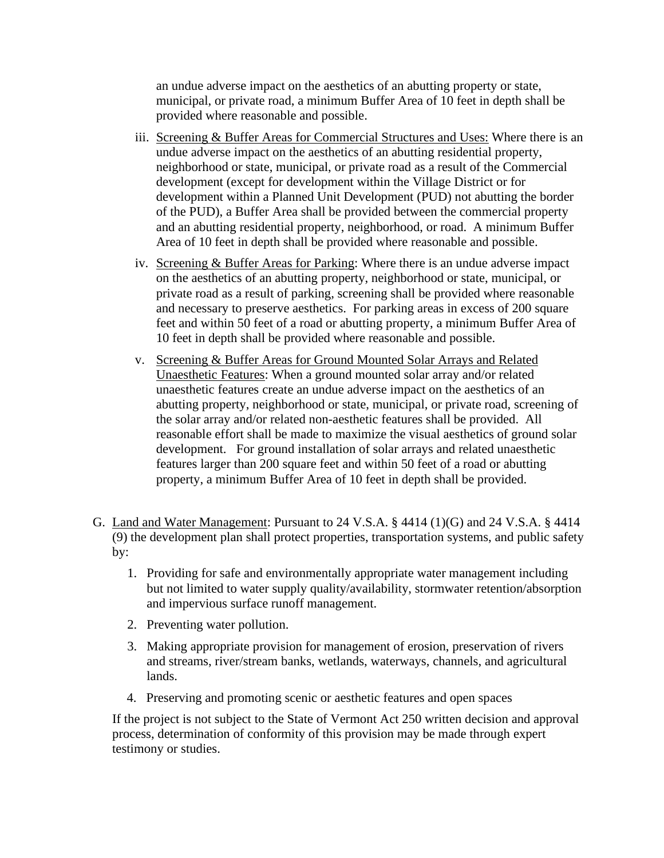an undue adverse impact on the aesthetics of an abutting property or state, municipal, or private road, a minimum Buffer Area of 10 feet in depth shall be provided where reasonable and possible.

- iii. Screening & Buffer Areas for Commercial Structures and Uses: Where there is an undue adverse impact on the aesthetics of an abutting residential property, neighborhood or state, municipal, or private road as a result of the Commercial development (except for development within the Village District or for development within a Planned Unit Development (PUD) not abutting the border of the PUD), a Buffer Area shall be provided between the commercial property and an abutting residential property, neighborhood, or road. A minimum Buffer Area of 10 feet in depth shall be provided where reasonable and possible.
- iv. Screening & Buffer Areas for Parking: Where there is an undue adverse impact on the aesthetics of an abutting property, neighborhood or state, municipal, or private road as a result of parking, screening shall be provided where reasonable and necessary to preserve aesthetics. For parking areas in excess of 200 square feet and within 50 feet of a road or abutting property, a minimum Buffer Area of 10 feet in depth shall be provided where reasonable and possible.
- v. Screening & Buffer Areas for Ground Mounted Solar Arrays and Related Unaesthetic Features: When a ground mounted solar array and/or related unaesthetic features create an undue adverse impact on the aesthetics of an abutting property, neighborhood or state, municipal, or private road, screening of the solar array and/or related non-aesthetic features shall be provided. All reasonable effort shall be made to maximize the visual aesthetics of ground solar development. For ground installation of solar arrays and related unaesthetic features larger than 200 square feet and within 50 feet of a road or abutting property, a minimum Buffer Area of 10 feet in depth shall be provided.
- G. Land and Water Management: Pursuant to 24 V.S.A. § 4414 (1)(G) and 24 V.S.A. § 4414 (9) the development plan shall protect properties, transportation systems, and public safety by:
	- 1. Providing for safe and environmentally appropriate water management including but not limited to water supply quality/availability, stormwater retention/absorption and impervious surface runoff management.
	- 2. Preventing water pollution.
	- 3. Making appropriate provision for management of erosion, preservation of rivers and streams, river/stream banks, wetlands, waterways, channels, and agricultural lands.
	- 4. Preserving and promoting scenic or aesthetic features and open spaces

If the project is not subject to the State of Vermont Act 250 written decision and approval process, determination of conformity of this provision may be made through expert testimony or studies.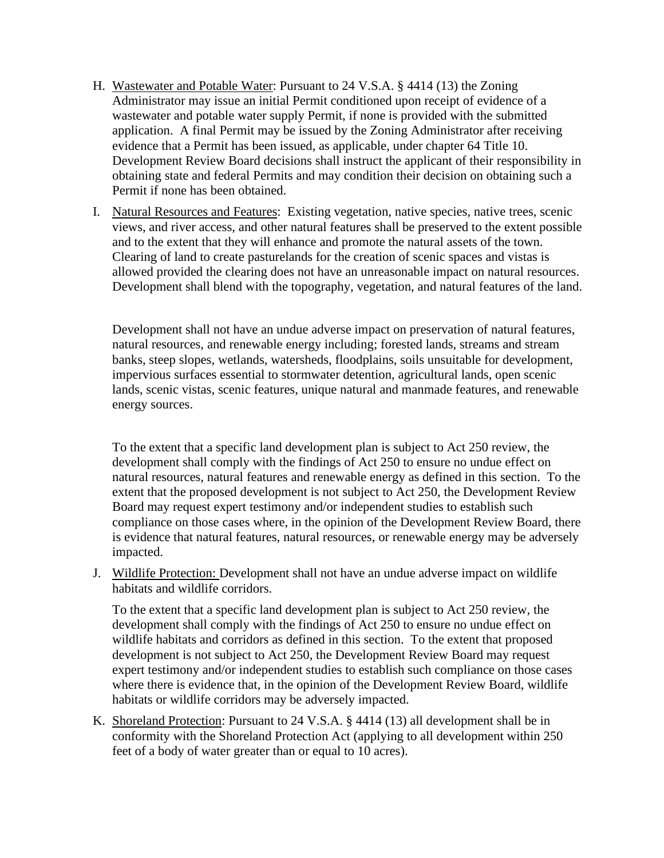- H. Wastewater and Potable Water: Pursuant to 24 V.S.A. § 4414 (13) the Zoning Administrator may issue an initial Permit conditioned upon receipt of evidence of a wastewater and potable water supply Permit, if none is provided with the submitted application. A final Permit may be issued by the Zoning Administrator after receiving evidence that a Permit has been issued, as applicable, under chapter 64 Title 10. Development Review Board decisions shall instruct the applicant of their responsibility in obtaining state and federal Permits and may condition their decision on obtaining such a Permit if none has been obtained.
- I. Natural Resources and Features: Existing vegetation, native species, native trees, scenic views, and river access, and other natural features shall be preserved to the extent possible and to the extent that they will enhance and promote the natural assets of the town. Clearing of land to create pasturelands for the creation of scenic spaces and vistas is allowed provided the clearing does not have an unreasonable impact on natural resources. Development shall blend with the topography, vegetation, and natural features of the land.

Development shall not have an undue adverse impact on preservation of natural features, natural resources, and renewable energy including; forested lands, streams and stream banks, steep slopes, wetlands, watersheds, floodplains, soils unsuitable for development, impervious surfaces essential to stormwater detention, agricultural lands, open scenic lands, scenic vistas, scenic features, unique natural and manmade features, and renewable energy sources.

To the extent that a specific land development plan is subject to Act 250 review, the development shall comply with the findings of Act 250 to ensure no undue effect on natural resources, natural features and renewable energy as defined in this section. To the extent that the proposed development is not subject to Act 250, the Development Review Board may request expert testimony and/or independent studies to establish such compliance on those cases where, in the opinion of the Development Review Board, there is evidence that natural features, natural resources, or renewable energy may be adversely impacted.

J. Wildlife Protection: Development shall not have an undue adverse impact on wildlife habitats and wildlife corridors.

To the extent that a specific land development plan is subject to Act 250 review, the development shall comply with the findings of Act 250 to ensure no undue effect on wildlife habitats and corridors as defined in this section. To the extent that proposed development is not subject to Act 250, the Development Review Board may request expert testimony and/or independent studies to establish such compliance on those cases where there is evidence that, in the opinion of the Development Review Board, wildlife habitats or wildlife corridors may be adversely impacted.

K. Shoreland Protection: Pursuant to 24 V.S.A. § 4414 (13) all development shall be in conformity with the Shoreland Protection Act (applying to all development within 250 feet of a body of water greater than or equal to 10 acres).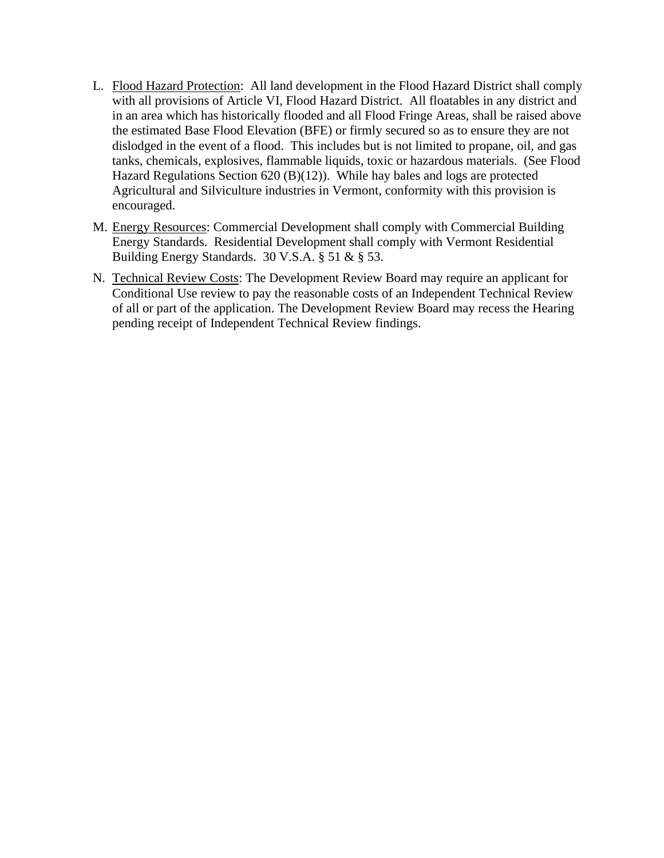- L. Flood Hazard Protection: All land development in the Flood Hazard District shall comply with all provisions of Article VI, Flood Hazard District. All floatables in any district and in an area which has historically flooded and all Flood Fringe Areas, shall be raised above the estimated Base Flood Elevation (BFE) or firmly secured so as to ensure they are not dislodged in the event of a flood. This includes but is not limited to propane, oil, and gas tanks, chemicals, explosives, flammable liquids, toxic or hazardous materials. (See Flood Hazard Regulations Section 620 (B)(12)). While hay bales and logs are protected Agricultural and Silviculture industries in Vermont, conformity with this provision is encouraged.
- M. Energy Resources: Commercial Development shall comply with Commercial Building Energy Standards. Residential Development shall comply with Vermont Residential Building Energy Standards. 30 V.S.A. § 51 & § 53.
- N. Technical Review Costs: The Development Review Board may require an applicant for Conditional Use review to pay the reasonable costs of an Independent Technical Review of all or part of the application. The Development Review Board may recess the Hearing pending receipt of Independent Technical Review findings.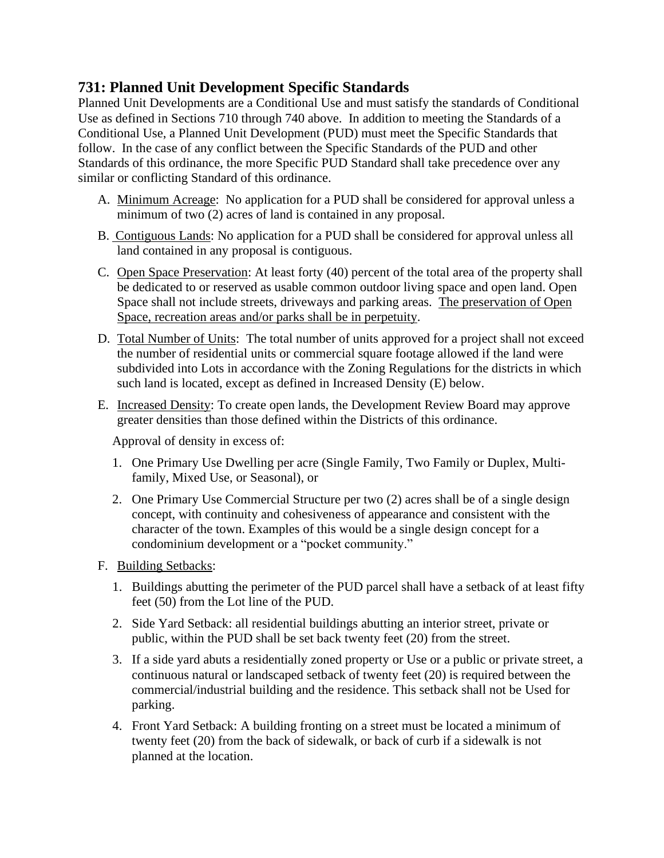## **731: Planned Unit Development Specific Standards**

Planned Unit Developments are a Conditional Use and must satisfy the standards of Conditional Use as defined in Sections 710 through 740 above. In addition to meeting the Standards of a Conditional Use, a Planned Unit Development (PUD) must meet the Specific Standards that follow. In the case of any conflict between the Specific Standards of the PUD and other Standards of this ordinance, the more Specific PUD Standard shall take precedence over any similar or conflicting Standard of this ordinance.

- A. Minimum Acreage:No application for a PUD shall be considered for approval unless a minimum of two (2) acres of land is contained in any proposal.
- B. Contiguous Lands: No application for a PUD shall be considered for approval unless all land contained in any proposal is contiguous.
- C. Open Space Preservation: At least forty (40) percent of the total area of the property shall be dedicated to or reserved as usable common outdoor living space and open land. Open Space shall not include streets, driveways and parking areas. The preservation of Open Space, recreation areas and/or parks shall be in perpetuity.
- D. Total Number of Units: The total number of units approved for a project shall not exceed the number of residential units or commercial square footage allowed if the land were subdivided into Lots in accordance with the Zoning Regulations for the districts in which such land is located, except as defined in Increased Density (E) below.
- E. Increased Density: To create open lands, the Development Review Board may approve greater densities than those defined within the Districts of this ordinance.

Approval of density in excess of:

- 1. One Primary Use Dwelling per acre (Single Family, Two Family or Duplex, Multifamily, Mixed Use, or Seasonal), or
- 2. One Primary Use Commercial Structure per two (2) acres shall be of a single design concept, with continuity and cohesiveness of appearance and consistent with the character of the town. Examples of this would be a single design concept for a condominium development or a "pocket community."
- F. Building Setbacks:
	- 1. Buildings abutting the perimeter of the PUD parcel shall have a setback of at least fifty feet (50) from the Lot line of the PUD.
	- 2. Side Yard Setback: all residential buildings abutting an interior street, private or public, within the PUD shall be set back twenty feet (20) from the street.
	- 3. If a side yard abuts a residentially zoned property or Use or a public or private street, a continuous natural or landscaped setback of twenty feet (20) is required between the commercial/industrial building and the residence. This setback shall not be Used for parking.
	- 4. Front Yard Setback: A building fronting on a street must be located a minimum of twenty feet (20) from the back of sidewalk, or back of curb if a sidewalk is not planned at the location.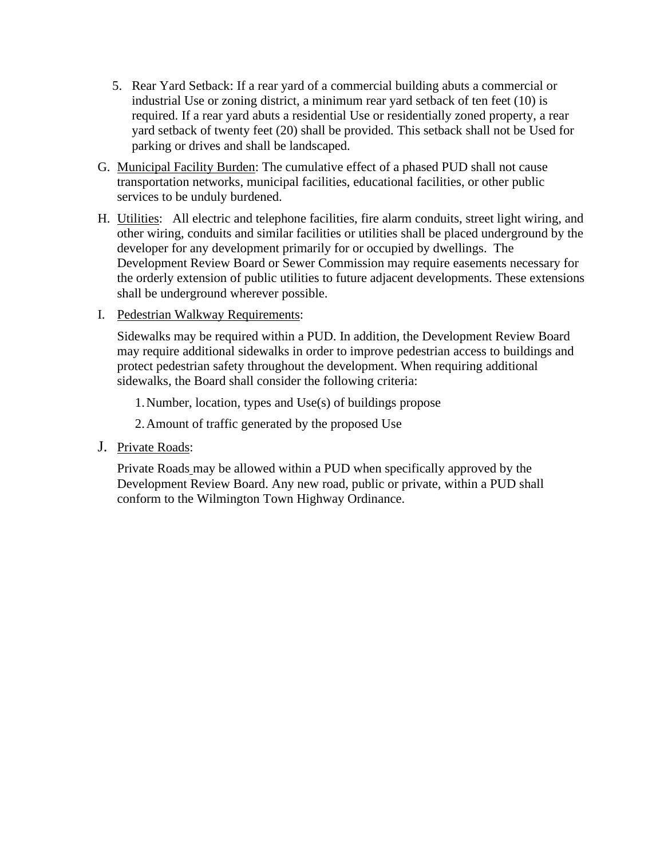- 5. Rear Yard Setback: If a rear yard of a commercial building abuts a commercial or industrial Use or zoning district, a minimum rear yard setback of ten feet (10) is required. If a rear yard abuts a residential Use or residentially zoned property, a rear yard setback of twenty feet (20) shall be provided. This setback shall not be Used for parking or drives and shall be landscaped.
- G. Municipal Facility Burden: The cumulative effect of a phased PUD shall not cause transportation networks, municipal facilities, educational facilities, or other public services to be unduly burdened.
- H. Utilities: All electric and telephone facilities, fire alarm conduits, street light wiring, and other wiring, conduits and similar facilities or utilities shall be placed underground by the developer for any development primarily for or occupied by dwellings. The Development Review Board or Sewer Commission may require easements necessary for the orderly extension of public utilities to future adjacent developments. These extensions shall be underground wherever possible.
- I. Pedestrian Walkway Requirements:

Sidewalks may be required within a PUD. In addition, the Development Review Board may require additional sidewalks in order to improve pedestrian access to buildings and protect pedestrian safety throughout the development. When requiring additional sidewalks, the Board shall consider the following criteria:

1.Number, location, types and Use(s) of buildings propose

2.Amount of traffic generated by the proposed Use

J. Private Roads:

Private Roads may be allowed within a PUD when specifically approved by the Development Review Board. Any new road, public or private, within a PUD shall conform to the Wilmington Town Highway Ordinance.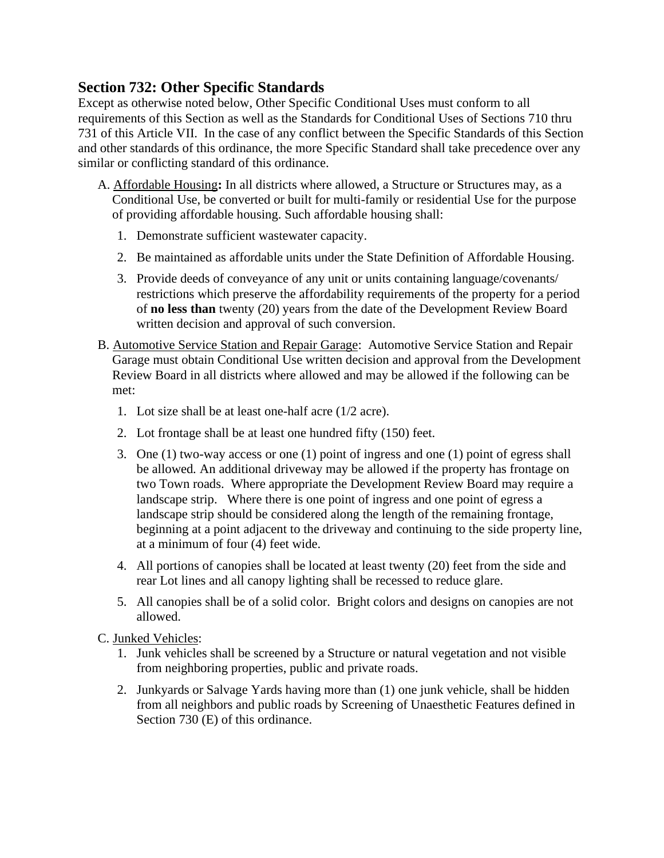## **Section 732: Other Specific Standards**

Except as otherwise noted below, Other Specific Conditional Uses must conform to all requirements of this Section as well as the Standards for Conditional Uses of Sections 710 thru 731 of this Article VII. In the case of any conflict between the Specific Standards of this Section and other standards of this ordinance, the more Specific Standard shall take precedence over any similar or conflicting standard of this ordinance.

- A. Affordable Housing**:** In all districts where allowed, a Structure or Structures may, as a Conditional Use, be converted or built for multi-family or residential Use for the purpose of providing affordable housing. Such affordable housing shall:
	- 1. Demonstrate sufficient wastewater capacity.
	- 2. Be maintained as affordable units under the State Definition of Affordable Housing.
	- 3. Provide deeds of conveyance of any unit or units containing language/covenants/ restrictions which preserve the affordability requirements of the property for a period of **no less than** twenty (20) years from the date of the Development Review Board written decision and approval of such conversion.
- B. Automotive Service Station and Repair Garage: Automotive Service Station and Repair Garage must obtain Conditional Use written decision and approval from the Development Review Board in all districts where allowed and may be allowed if the following can be met:
	- 1. Lot size shall be at least one-half acre (1/2 acre).
	- 2. Lot frontage shall be at least one hundred fifty (150) feet.
	- 3. One (1) two-way access or one (1) point of ingress and one (1) point of egress shall be allowed*.* An additional driveway may be allowed if the property has frontage on two Town roads. Where appropriate the Development Review Board may require a landscape strip. Where there is one point of ingress and one point of egress a landscape strip should be considered along the length of the remaining frontage, beginning at a point adjacent to the driveway and continuing to the side property line, at a minimum of four (4) feet wide.
	- 4. All portions of canopies shall be located at least twenty (20) feet from the side and rear Lot lines and all canopy lighting shall be recessed to reduce glare.
	- 5. All canopies shall be of a solid color. Bright colors and designs on canopies are not allowed.

C. Junked Vehicles:

- 1. Junk vehicles shall be screened by a Structure or natural vegetation and not visible from neighboring properties, public and private roads.
- 2. Junkyards or Salvage Yards having more than (1) one junk vehicle, shall be hidden from all neighbors and public roads by Screening of Unaesthetic Features defined in Section 730 (E) of this ordinance.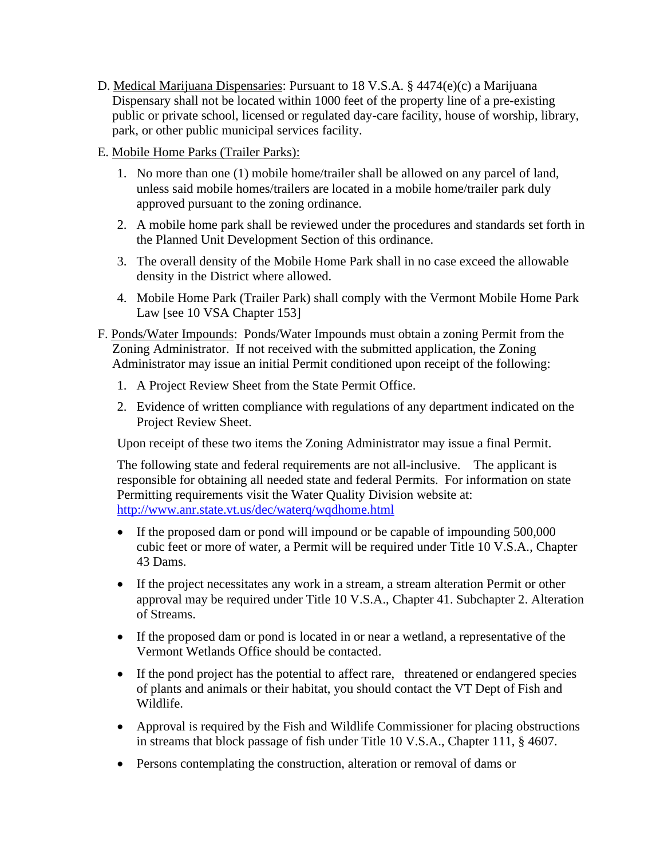- D. Medical Marijuana Dispensaries: Pursuant to 18 V.S.A. § 4474(e)(c) a Marijuana Dispensary shall not be located within 1000 feet of the property line of a pre-existing public or private school, licensed or regulated day-care facility, house of worship, library, park, or other public municipal services facility.
- E. Mobile Home Parks (Trailer Parks):
	- 1. No more than one (1) mobile home/trailer shall be allowed on any parcel of land, unless said mobile homes/trailers are located in a mobile home/trailer park duly approved pursuant to the zoning ordinance.
	- 2. A mobile home park shall be reviewed under the procedures and standards set forth in the Planned Unit Development Section of this ordinance.
	- 3. The overall density of the Mobile Home Park shall in no case exceed the allowable density in the District where allowed.
	- 4. Mobile Home Park (Trailer Park) shall comply with the Vermont Mobile Home Park Law [see 10 VSA Chapter 153]
- F. Ponds/Water Impounds: Ponds/Water Impounds must obtain a zoning Permit from the Zoning Administrator. If not received with the submitted application, the Zoning Administrator may issue an initial Permit conditioned upon receipt of the following:
	- 1. A Project Review Sheet from the State Permit Office.
	- 2. Evidence of written compliance with regulations of any department indicated on the Project Review Sheet.

Upon receipt of these two items the Zoning Administrator may issue a final Permit.

The following state and federal requirements are not all-inclusive. The applicant is responsible for obtaining all needed state and federal Permits. For information on state Permitting requirements visit the Water Quality Division website at: <http://www.anr.state.vt.us/dec/waterq/wqdhome.html>

- If the proposed dam or pond will impound or be capable of impounding 500,000 cubic feet or more of water, a Permit will be required under Title 10 V.S.A., Chapter 43 Dams.
- If the project necessitates any work in a stream, a stream alteration Permit or other approval may be required under Title 10 V.S.A., Chapter 41. Subchapter 2. Alteration of Streams.
- If the proposed dam or pond is located in or near a wetland, a representative of the Vermont Wetlands Office should be contacted.
- If the pond project has the potential to affect rare, threatened or endangered species of plants and animals or their habitat, you should contact the VT Dept of Fish and Wildlife.
- Approval is required by the Fish and Wildlife Commissioner for placing obstructions in streams that block passage of fish under Title 10 V.S.A., Chapter 111, § 4607.
- Persons contemplating the construction, alteration or removal of dams or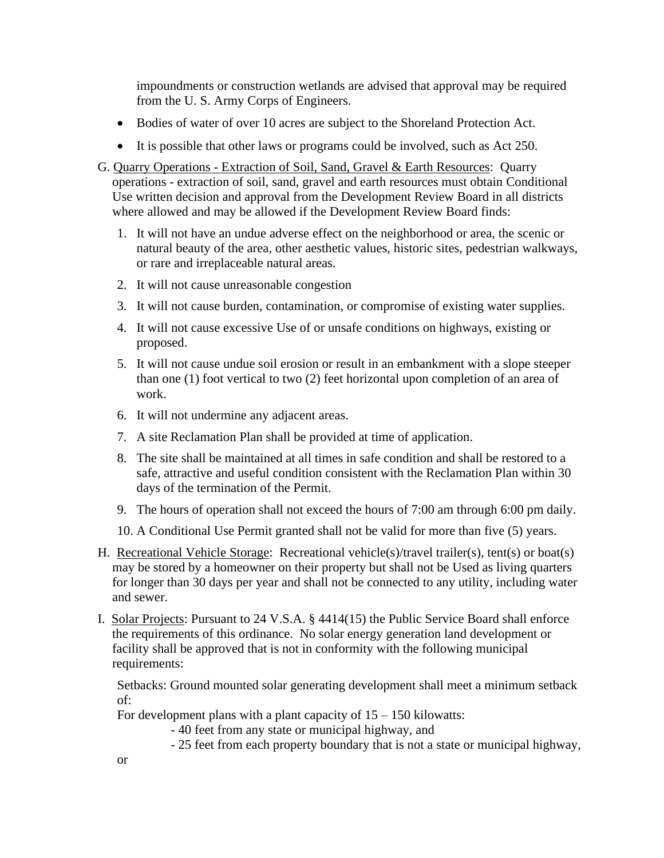impoundments or construction wetlands are advised that approval may be required from the U. S. Army Corps of Engineers.

- Bodies of water of over 10 acres are subject to the Shoreland Protection Act.
- It is possible that other laws or programs could be involved, such as Act 250.
- G. Quarry Operations Extraction of Soil, Sand, Gravel & Earth Resources: Quarry operations - extraction of soil, sand, gravel and earth resources must obtain Conditional Use written decision and approval from the Development Review Board in all districts where allowed and may be allowed if the Development Review Board finds:
	- 1. It will not have an undue adverse effect on the neighborhood or area, the scenic or natural beauty of the area, other aesthetic values, historic sites, pedestrian walkways, or rare and irreplaceable natural areas.
	- 2. It will not cause unreasonable congestion
	- 3. It will not cause burden, contamination, or compromise of existing water supplies.
	- 4. It will not cause excessive Use of or unsafe conditions on highways, existing or proposed.
	- 5. It will not cause undue soil erosion or result in an embankment with a slope steeper than one (1) foot vertical to two (2) feet horizontal upon completion of an area of work.
	- 6. It will not undermine any adjacent areas.
	- 7. A site Reclamation Plan shall be provided at time of application.
	- 8. The site shall be maintained at all times in safe condition and shall be restored to a safe, attractive and useful condition consistent with the Reclamation Plan within 30 days of the termination of the Permit.
	- 9. The hours of operation shall not exceed the hours of 7:00 am through 6:00 pm daily.
	- 10. A Conditional Use Permit granted shall not be valid for more than five (5) years.
- H. Recreational Vehicle Storage: Recreational vehicle(s)/travel trailer(s), tent(s) or boat(s) may be stored by a homeowner on their property but shall not be Used as living quarters for longer than 30 days per year and shall not be connected to any utility, including water and sewer.
- I. Solar Projects: Pursuant to 24 V.S.A. § 4414(15) the Public Service Board shall enforce the requirements of this ordinance. No solar energy generation land development or facility shall be approved that is not in conformity with the following municipal requirements:

Setbacks: Ground mounted solar generating development shall meet a minimum setback of:

For development plans with a plant capacity of  $15 - 150$  kilowatts:

- 40 feet from any state or municipal highway, and

- 25 feet from each property boundary that is not a state or municipal highway,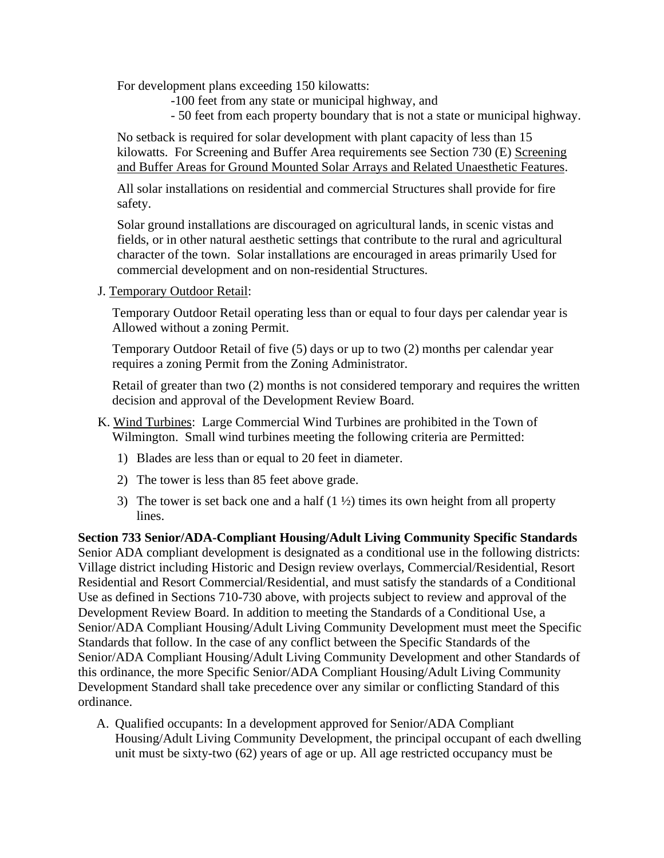For development plans exceeding 150 kilowatts:

- -100 feet from any state or municipal highway, and
- 50 feet from each property boundary that is not a state or municipal highway.

No setback is required for solar development with plant capacity of less than 15 kilowatts. For Screening and Buffer Area requirements see Section 730 (E) Screening and Buffer Areas for Ground Mounted Solar Arrays and Related Unaesthetic Features.

All solar installations on residential and commercial Structures shall provide for fire safety.

Solar ground installations are discouraged on agricultural lands, in scenic vistas and fields, or in other natural aesthetic settings that contribute to the rural and agricultural character of the town. Solar installations are encouraged in areas primarily Used for commercial development and on non-residential Structures.

J. Temporary Outdoor Retail:

Temporary Outdoor Retail operating less than or equal to four days per calendar year is Allowed without a zoning Permit.

Temporary Outdoor Retail of five (5) days or up to two (2) months per calendar year requires a zoning Permit from the Zoning Administrator.

Retail of greater than two (2) months is not considered temporary and requires the written decision and approval of the Development Review Board.

- K. Wind Turbines: Large Commercial Wind Turbines are prohibited in the Town of Wilmington. Small wind turbines meeting the following criteria are Permitted:
	- 1) Blades are less than or equal to 20 feet in diameter.
	- 2) The tower is less than 85 feet above grade.
	- 3) The tower is set back one and a half  $(1 \frac{1}{2})$  times its own height from all property lines.

**Section 733 Senior/ADA-Compliant Housing/Adult Living Community Specific Standards** Senior ADA compliant development is designated as a conditional use in the following districts: Village district including Historic and Design review overlays, Commercial/Residential, Resort Residential and Resort Commercial/Residential, and must satisfy the standards of a Conditional Use as defined in Sections 710-730 above, with projects subject to review and approval of the Development Review Board. In addition to meeting the Standards of a Conditional Use, a Senior/ADA Compliant Housing/Adult Living Community Development must meet the Specific Standards that follow. In the case of any conflict between the Specific Standards of the Senior/ADA Compliant Housing/Adult Living Community Development and other Standards of this ordinance, the more Specific Senior/ADA Compliant Housing/Adult Living Community Development Standard shall take precedence over any similar or conflicting Standard of this ordinance.

A. Qualified occupants: In a development approved for Senior/ADA Compliant Housing/Adult Living Community Development, the principal occupant of each dwelling unit must be sixty-two (62) years of age or up. All age restricted occupancy must be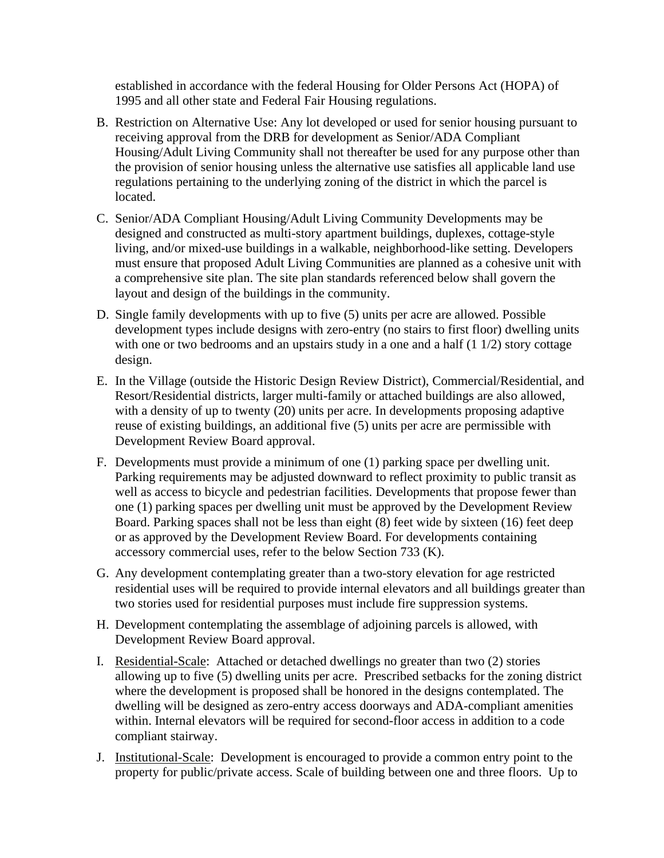established in accordance with the federal Housing for Older Persons Act (HOPA) of 1995 and all other state and Federal Fair Housing regulations.

- B. Restriction on Alternative Use: Any lot developed or used for senior housing pursuant to receiving approval from the DRB for development as Senior/ADA Compliant Housing/Adult Living Community shall not thereafter be used for any purpose other than the provision of senior housing unless the alternative use satisfies all applicable land use regulations pertaining to the underlying zoning of the district in which the parcel is located.
- C. Senior/ADA Compliant Housing/Adult Living Community Developments may be designed and constructed as multi-story apartment buildings, duplexes, cottage-style living, and/or mixed-use buildings in a walkable, neighborhood-like setting. Developers must ensure that proposed Adult Living Communities are planned as a cohesive unit with a comprehensive site plan. The site plan standards referenced below shall govern the layout and design of the buildings in the community.
- D. Single family developments with up to five (5) units per acre are allowed. Possible development types include designs with zero-entry (no stairs to first floor) dwelling units with one or two bedrooms and an upstairs study in a one and a half  $(1\ 1/2)$  story cottage design.
- E. In the Village (outside the Historic Design Review District), Commercial/Residential, and Resort/Residential districts, larger multi-family or attached buildings are also allowed, with a density of up to twenty (20) units per acre. In developments proposing adaptive reuse of existing buildings, an additional five (5) units per acre are permissible with Development Review Board approval.
- F. Developments must provide a minimum of one (1) parking space per dwelling unit. Parking requirements may be adjusted downward to reflect proximity to public transit as well as access to bicycle and pedestrian facilities. Developments that propose fewer than one (1) parking spaces per dwelling unit must be approved by the Development Review Board. Parking spaces shall not be less than eight (8) feet wide by sixteen (16) feet deep or as approved by the Development Review Board. For developments containing accessory commercial uses, refer to the below Section 733 (K).
- G. Any development contemplating greater than a two-story elevation for age restricted residential uses will be required to provide internal elevators and all buildings greater than two stories used for residential purposes must include fire suppression systems.
- H. Development contemplating the assemblage of adjoining parcels is allowed, with Development Review Board approval.
- I. Residential-Scale: Attached or detached dwellings no greater than two (2) stories allowing up to five (5) dwelling units per acre. Prescribed setbacks for the zoning district where the development is proposed shall be honored in the designs contemplated. The dwelling will be designed as zero-entry access doorways and ADA-compliant amenities within. Internal elevators will be required for second-floor access in addition to a code compliant stairway.
- J. Institutional-Scale: Development is encouraged to provide a common entry point to the property for public/private access. Scale of building between one and three floors. Up to